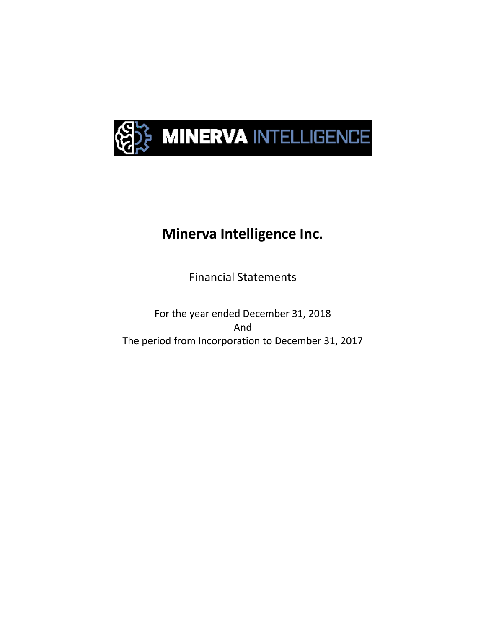

# **Minerva Intelligence Inc.**

Financial Statements

For the year ended December 31, 2018 And The period from Incorporation to December 31, 2017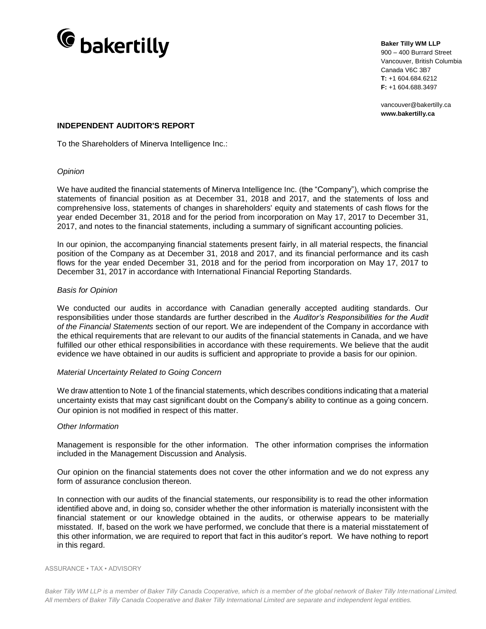

**Baker Tilly WM LLP**

900 – 400 Burrard Street Vancouver, British Columbia Canada V6C 3B7 **T:** +1 604.684.6212 **F:** +1 604.688.3497

vancouver@bakertilly.ca **www.bakertilly.ca**

#### **INDEPENDENT AUDITOR'S REPORT**

To the Shareholders of Minerva Intelligence Inc.:

#### **Opinion**

We have audited the financial statements of Minerva Intelligence Inc. (the "Company"), which comprise the statements of financial position as at December 31, 2018 and 2017, and the statements of loss and comprehensive loss, statements of changes in shareholders' equity and statements of cash flows for the year ended December 31, 2018 and for the period from incorporation on May 17, 2017 to December 31, 2017, and notes to the financial statements, including a summary of significant accounting policies.

In our opinion, the accompanying financial statements present fairly, in all material respects, the financial position of the Company as at December 31, 2018 and 2017, and its financial performance and its cash flows for the year ended December 31, 2018 and for the period from incorporation on May 17, 2017 to December 31, 2017 in accordance with International Financial Reporting Standards.

#### Basis for Opinion

We conducted our audits in accordance with Canadian generally accepted auditing standards. Our responsibilities under those standards are further described in the *Auditor's Responsibilities for the Audit*  of the Financial Statements section of our report. We are independent of the Company in accordance with the ethical requirements that are relevant to our audits of the financial statements in Canada, and we have fulfilled our other ethical responsibilities in accordance with these requirements. We believe that the audit evidence we have obtained in our audits is sufficient and appropriate to provide a basis for our opinion.

#### Material Uncertainty Related to Going Concern

We draw attention to Note 1 of the financial statements, which describes conditions indicating that a material uncertainty exists that may cast significant doubt on the Company's ability to continue as a going concern. Our opinion is not modified in respect of this matter.

#### Other Information

Management is responsible for the other information. The other information comprises the information included in the Management Discussion and Analysis.

Our opinion on the financial statements does not cover the other information and we do not express any form of assurance conclusion thereon.

In connection with our audits of the financial statements, our responsibility is to read the other information identified above and, in doing so, consider whether the other information is materially inconsistent with the financial statement or our knowledge obtained in the audits, or otherwise appears to be materially misstated. If, based on the work we have performed, we conclude that there is a material misstatement of this other information, we are required to report that fact in this auditor's report. We have nothing to report in this regard.

#### ASSURANCE • TAX • ADVISORY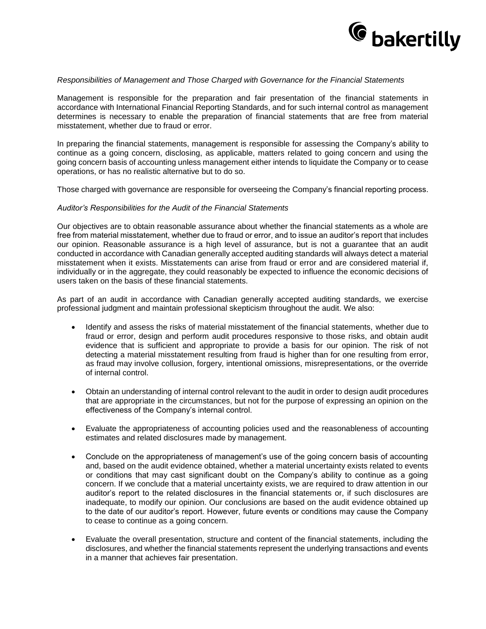

#### Responsibilities of Management and Those Charged with Governance for the Financial Statements

Management is responsible for the preparation and fair presentation of the financial statements in accordance with International Financial Reporting Standards, and for such internal control as management determines is necessary to enable the preparation of financial statements that are free from material misstatement, whether due to fraud or error.

In preparing the financial statements, management is responsible for assessing the Company's ability to continue as a going concern, disclosing, as applicable, matters related to going concern and using the going concern basis of accounting unless management either intends to liquidate the Company or to cease operations, or has no realistic alternative but to do so.

Those charged with governance are responsible for overseeing the Company's financial reporting process.

#### *Auditor's Re*sponsibilities for the Audit of the Financial Statements

Our objectives are to obtain reasonable assurance about whether the financial statements as a whole are free from material misstatement, whether due to fraud or error, and to issue an auditor's report that includes our opinion. Reasonable assurance is a high level of assurance, but is not a guarantee that an audit conducted in accordance with Canadian generally accepted auditing standards will always detect a material misstatement when it exists. Misstatements can arise from fraud or error and are considered material if, individually or in the aggregate, they could reasonably be expected to influence the economic decisions of users taken on the basis of these financial statements.

As part of an audit in accordance with Canadian generally accepted auditing standards, we exercise professional judgment and maintain professional skepticism throughout the audit. We also:

- Identify and assess the risks of material misstatement of the financial statements, whether due to fraud or error, design and perform audit procedures responsive to those risks, and obtain audit evidence that is sufficient and appropriate to provide a basis for our opinion. The risk of not detecting a material misstatement resulting from fraud is higher than for one resulting from error, as fraud may involve collusion, forgery, intentional omissions, misrepresentations, or the override of internal control.
- Obtain an understanding of internal control relevant to the audit in order to design audit procedures that are appropriate in the circumstances, but not for the purpose of expressing an opinion on the effectiveness of the Company's internal control.
- Evaluate the appropriateness of accounting policies used and the reasonableness of accounting estimates and related disclosures made by management.
- Conclude on the appropriateness of management's use of the going concern basis of accounting and, based on the audit evidence obtained, whether a material uncertainty exists related to events or conditions that may cast significant doubt on the Company's ability to continue as a going concern. If we conclude that a material uncertainty exists, we are required to draw attention in our auditor's report to the related disclosures in the financial statements or, if such disclosures are inadequate, to modify our opinion. Our conclusions are based on the audit evidence obtained up to the date of our auditor's report. However, future events or conditions may cause the Company to cease to continue as a going concern.
- Evaluate the overall presentation, structure and content of the financial statements, including the disclosures, and whether the financial statements represent the underlying transactions and events in a manner that achieves fair presentation.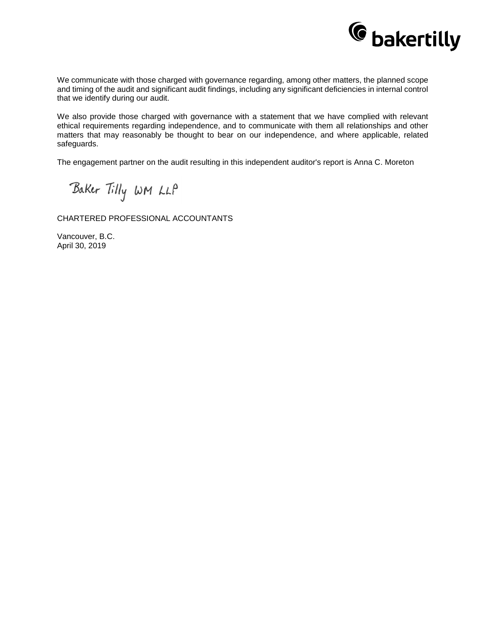

We communicate with those charged with governance regarding, among other matters, the planned scope and timing of the audit and significant audit findings, including any significant deficiencies in internal control that we identify during our audit.

We also provide those charged with governance with a statement that we have complied with relevant ethical requirements regarding independence, and to communicate with them all relationships and other matters that may reasonably be thought to bear on our independence, and where applicable, related safeguards.

The engagement partner on the audit resulting in this independent auditor's report is Anna C. Moreton

Baker Tilly WM LLP

CHARTERED PROFESSIONAL ACCOUNTANTS

Vancouver, B.C. April 30, 2019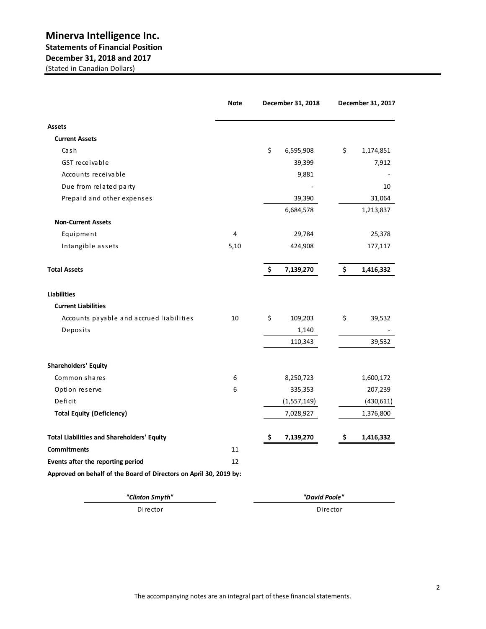|                                                                    | <b>Note</b>             | December 31, 2018 | December 31, 2017 |
|--------------------------------------------------------------------|-------------------------|-------------------|-------------------|
| <b>Assets</b>                                                      |                         |                   |                   |
| <b>Current Assets</b>                                              |                         |                   |                   |
| Cash                                                               |                         | \$<br>6,595,908   | \$<br>1,174,851   |
| GST receivable                                                     |                         | 39,399            | 7,912             |
| Accounts receivable                                                |                         | 9,881             |                   |
| Due from related party                                             |                         |                   | 10                |
| Prepaid and other expenses                                         |                         | 39,390            | 31,064            |
|                                                                    |                         | 6,684,578         | 1,213,837         |
| <b>Non-Current Assets</b>                                          |                         |                   |                   |
| Equipment                                                          | $\overline{\mathbf{4}}$ | 29,784            | 25,378            |
| Intangible assets                                                  | 5,10                    | 424,908           | 177,117           |
| <b>Total Assets</b>                                                |                         | \$<br>7,139,270   | \$<br>1,416,332   |
| <b>Liabilities</b>                                                 |                         |                   |                   |
| <b>Current Liabilities</b>                                         |                         |                   |                   |
| Accounts payable and accrued liabilities                           | 10                      | \$<br>109,203     | \$<br>39,532      |
| Deposits                                                           |                         | 1,140             |                   |
|                                                                    |                         | 110,343           | 39,532            |
| <b>Shareholders' Equity</b>                                        |                         |                   |                   |
| Common shares                                                      | 6                       | 8,250,723         | 1,600,172         |
| Option reserve                                                     | 6                       | 335,353           | 207,239           |
| Deficit                                                            |                         | (1,557,149)       | (430, 611)        |
| <b>Total Equity (Deficiency)</b>                                   |                         | 7,028,927         | 1,376,800         |
| <b>Total Liabilities and Shareholders' Equity</b>                  |                         | 7,139,270<br>\$   | \$<br>1,416,332   |
| <b>Commitments</b>                                                 | 11                      |                   |                   |
| Events after the reporting period                                  | 12                      |                   |                   |
| Approved on behalf of the Board of Directors on April 30, 2019 by: |                         |                   |                   |

*"Clinton Smyth"*

Director

*"David Poole"*

Director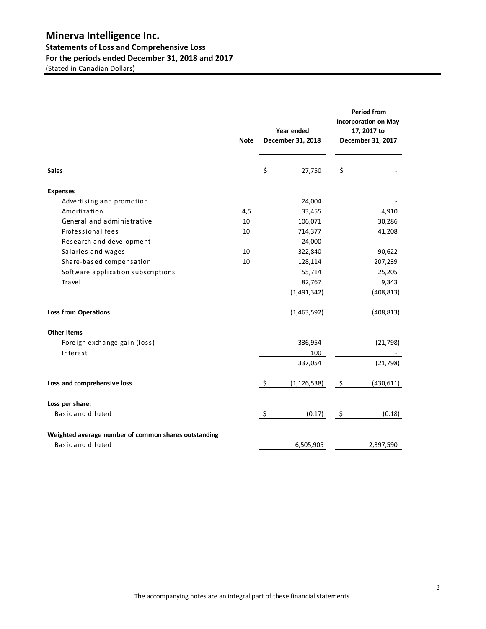## **Minerva Intelligence Inc. Statements of Loss and Comprehensive Loss For the periods ended December 31, 2018 and 2017**

(Stated in Canadian Dollars)

|                                                      | <b>Note</b> | Year ended<br>December 31, 2018 |                    | <b>Period from</b><br><b>Incorporation on May</b><br>17, 2017 to<br>December 31, 2017 |
|------------------------------------------------------|-------------|---------------------------------|--------------------|---------------------------------------------------------------------------------------|
| <b>Sales</b>                                         |             | \$<br>27,750                    | \$                 |                                                                                       |
| <b>Expenses</b>                                      |             |                                 |                    |                                                                                       |
| Advertising and promotion                            |             | 24,004                          |                    |                                                                                       |
| Amortization                                         | 4,5         | 33,455                          |                    | 4,910                                                                                 |
| General and administrative                           | 10          | 106,071                         |                    | 30,286                                                                                |
| Professional fees                                    | 10          | 714,377                         |                    | 41,208                                                                                |
| Research and development                             |             | 24,000                          |                    |                                                                                       |
| Salaries and wages                                   | 10          | 322,840                         |                    | 90,622                                                                                |
| Share-based compensation                             | 10          | 128,114                         |                    | 207,239                                                                               |
| Software application subscriptions                   |             | 55,714                          |                    | 25,205                                                                                |
| Travel                                               |             | 82,767                          |                    | 9,343                                                                                 |
|                                                      |             | (1,491,342)                     |                    | (408, 813)                                                                            |
| <b>Loss from Operations</b>                          |             | (1,463,592)                     |                    | (408, 813)                                                                            |
| <b>Other Items</b>                                   |             |                                 |                    |                                                                                       |
| Foreign exchange gain (loss)                         |             | 336,954                         |                    | (21, 798)                                                                             |
| Interest                                             |             | 100                             |                    |                                                                                       |
|                                                      |             | 337,054                         |                    | (21, 798)                                                                             |
| Loss and comprehensive loss                          |             | \$<br>(1, 126, 538)             | $\ddot{\varsigma}$ | (430, 611)                                                                            |
| Loss per share:                                      |             |                                 |                    |                                                                                       |
| Basic and diluted                                    |             | \$<br>(0.17)                    | \$                 | (0.18)                                                                                |
| Weighted average number of common shares outstanding |             |                                 |                    |                                                                                       |
| Basic and diluted                                    |             | 6,505,905                       |                    | 2,397,590                                                                             |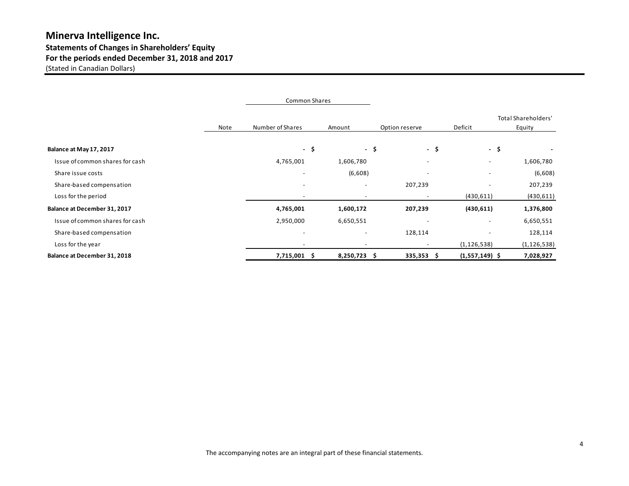## **Minerva Intelligence Inc. Statements of Changes in Shareholders' Equity For the periods ended December 31, 2018 and 2017** (Stated in Canadian Dollars)

|                                 |      | <b>Common Shares</b>     |        |                          |                |                          |                                      |
|---------------------------------|------|--------------------------|--------|--------------------------|----------------|--------------------------|--------------------------------------|
|                                 | Note | Number of Shares         |        | Amount                   | Option reserve | Deficit                  | <b>Total Shareholders'</b><br>Equity |
| Balance at May 17, 2017         |      |                          | $-$ \$ | $-$ \$                   | - \$           | - \$                     |                                      |
| Issue of common shares for cash |      | 4,765,001                |        | 1,606,780                |                | $\overline{\phantom{a}}$ | 1,606,780                            |
| Share issue costs               |      | $\overline{\phantom{a}}$ |        | (6,608)                  |                |                          | (6,608)                              |
| Share-based compensation        |      | $\overline{\phantom{a}}$ |        | $\overline{\phantom{a}}$ | 207,239        |                          | 207,239                              |
| Loss for the period             |      | $\overline{\phantom{a}}$ |        |                          |                | (430, 611)               | (430, 611)                           |
| Balance at December 31, 2017    |      | 4,765,001                |        | 1,600,172                | 207,239        | (430, 611)               | 1,376,800                            |
| Issue of common shares for cash |      | 2,950,000                |        | 6,650,551                |                |                          | 6,650,551                            |
| Share-based compensation        |      | $\overline{\phantom{a}}$ |        | $\overline{\phantom{a}}$ | 128,114        |                          | 128,114                              |
| Loss for the year               |      |                          |        |                          |                | (1, 126, 538)            | (1, 126, 538)                        |
| Balance at December 31, 2018    |      | 7,715,001 \$             |        | $8,250,723$ \$           | $335,353$ \$   | $(1,557,149)$ \$         | 7,028,927                            |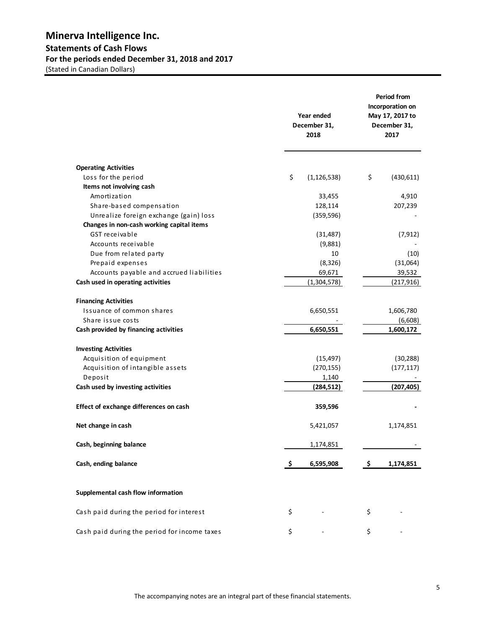|                                              | Year ended<br>December 31,<br>2018 | <b>Period from</b><br>Incorporation on<br>May 17, 2017 to<br>December 31,<br>2017 |
|----------------------------------------------|------------------------------------|-----------------------------------------------------------------------------------|
| <b>Operating Activities</b>                  |                                    |                                                                                   |
| Loss for the period                          | \$<br>(1, 126, 538)                | \$<br>(430,611)                                                                   |
| Items not involving cash                     |                                    |                                                                                   |
| Amortization                                 | 33,455                             | 4,910                                                                             |
| Share-based compensation                     | 128,114                            | 207,239                                                                           |
| Unrealize foreign exchange (gain) loss       | (359, 596)                         |                                                                                   |
| Changes in non-cash working capital items    |                                    |                                                                                   |
| GST receivable                               | (31, 487)                          | (7, 912)                                                                          |
| Accounts receivable                          | (9,881)                            |                                                                                   |
| Due from related party                       | 10                                 | (10)                                                                              |
| Prepaid expenses                             | (8, 326)                           | (31,064)                                                                          |
| Accounts payable and accrued liabilities     | 69,671                             | 39,532                                                                            |
| Cash used in operating activities            | (1,304,578)                        | (217, 916)                                                                        |
| <b>Financing Activities</b>                  |                                    |                                                                                   |
| Issuance of common shares                    | 6,650,551                          | 1,606,780                                                                         |
| Share issue costs                            |                                    | (6,608)                                                                           |
| Cash provided by financing activities        | 6,650,551                          | 1,600,172                                                                         |
| <b>Investing Activities</b>                  |                                    |                                                                                   |
| Acquisition of equipment                     | (15, 497)                          | (30, 288)                                                                         |
| Acquisition of intangible assets             | (270, 155)                         | (177, 117)                                                                        |
| Deposit                                      | 1,140                              |                                                                                   |
| Cash used by investing activities            | (284, 512)                         | (207, 405)                                                                        |
| Effect of exchange differences on cash       | 359,596                            |                                                                                   |
| Net change in cash                           | 5,421,057                          | 1,174,851                                                                         |
| Cash, beginning balance                      | 1,174,851                          |                                                                                   |
| Cash, ending balance                         | 6,595,908<br>s                     | 1,174,851<br>Ş.                                                                   |
| Supplemental cash flow information           |                                    |                                                                                   |
| Cash paid during the period for interest     | \$                                 | \$                                                                                |
| Cash paid during the period for income taxes | \$                                 | \$                                                                                |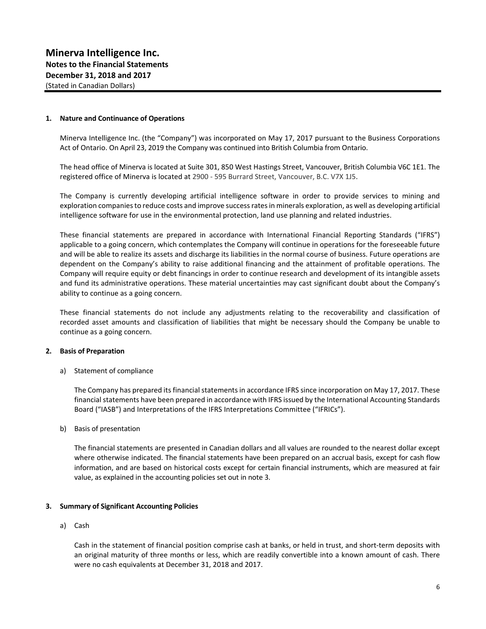#### **1. Nature and Continuance of Operations**

Minerva Intelligence Inc. (the "Company") was incorporated on May 17, 2017 pursuant to the Business Corporations Act of Ontario. On April 23, 2019 the Company was continued into British Columbia from Ontario.

The head office of Minerva is located at Suite 301, 850 West Hastings Street, Vancouver, British Columbia V6C 1E1. The registered office of Minerva is located at 2900 - 595 Burrard Street, Vancouver, B.C. V7X 1J5.

The Company is currently developing artificial intelligence software in order to provide services to mining and exploration companies to reduce costs and improve success rates in minerals exploration, as well as developing artificial intelligence software for use in the environmental protection, land use planning and related industries.

These financial statements are prepared in accordance with International Financial Reporting Standards ("IFRS") applicable to a going concern, which contemplates the Company will continue in operations for the foreseeable future and will be able to realize its assets and discharge its liabilities in the normal course of business. Future operations are dependent on the Company's ability to raise additional financing and the attainment of profitable operations. The Company will require equity or debt financings in order to continue research and development of its intangible assets and fund its administrative operations. These material uncertainties may cast significant doubt about the Company's ability to continue as a going concern.

These financial statements do not include any adjustments relating to the recoverability and classification of recorded asset amounts and classification of liabilities that might be necessary should the Company be unable to continue as a going concern.

#### **2. Basis of Preparation**

a) Statement of compliance

The Company has prepared its financial statements in accordance IFRS since incorporation on May 17, 2017. These financial statements have been prepared in accordance with IFRS issued by the International Accounting Standards Board ("IASB") and Interpretations of the IFRS Interpretations Committee ("IFRICs").

b) Basis of presentation

The financial statements are presented in Canadian dollars and all values are rounded to the nearest dollar except where otherwise indicated. The financial statements have been prepared on an accrual basis, except for cash flow information, and are based on historical costs except for certain financial instruments, which are measured at fair value, as explained in the accounting policies set out in note 3.

#### **3. Summary of Significant Accounting Policies**

a) Cash

Cash in the statement of financial position comprise cash at banks, or held in trust, and short-term deposits with an original maturity of three months or less, which are readily convertible into a known amount of cash. There were no cash equivalents at December 31, 2018 and 2017.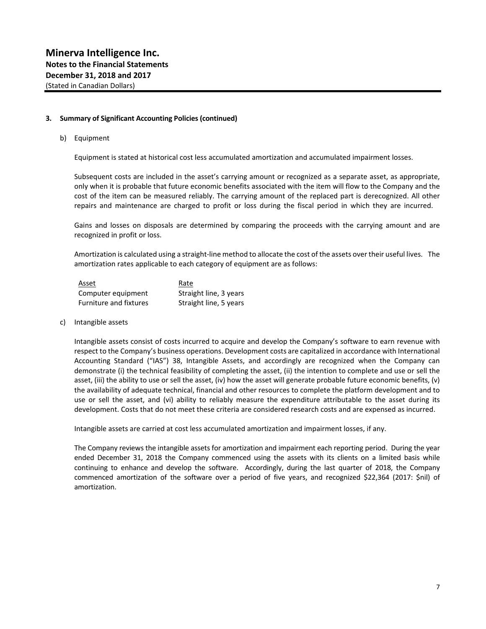#### b) Equipment

Equipment is stated at historical cost less accumulated amortization and accumulated impairment losses.

Subsequent costs are included in the asset's carrying amount or recognized as a separate asset, as appropriate, only when it is probable that future economic benefits associated with the item will flow to the Company and the cost of the item can be measured reliably. The carrying amount of the replaced part is derecognized. All other repairs and maintenance are charged to profit or loss during the fiscal period in which they are incurred.

Gains and losses on disposals are determined by comparing the proceeds with the carrying amount and are recognized in profit or loss.

Amortization is calculated using a straight-line method to allocate the cost of the assets over their useful lives. The amortization rates applicable to each category of equipment are as follows:

| Asset                         | Rate                   |
|-------------------------------|------------------------|
| Computer equipment            | Straight line, 3 years |
| <b>Furniture and fixtures</b> | Straight line, 5 years |

#### c) Intangible assets

Intangible assets consist of costs incurred to acquire and develop the Company's software to earn revenue with respect to the Company's business operations. Development costs are capitalized in accordance with International Accounting Standard ("IAS") 38, Intangible Assets, and accordingly are recognized when the Company can demonstrate (i) the technical feasibility of completing the asset, (ii) the intention to complete and use or sell the asset, (iii) the ability to use or sell the asset, (iv) how the asset will generate probable future economic benefits, (v) the availability of adequate technical, financial and other resources to complete the platform development and to use or sell the asset, and (vi) ability to reliably measure the expenditure attributable to the asset during its development. Costs that do not meet these criteria are considered research costs and are expensed as incurred.

Intangible assets are carried at cost less accumulated amortization and impairment losses, if any.

The Company reviews the intangible assets for amortization and impairment each reporting period. During the year ended December 31, 2018 the Company commenced using the assets with its clients on a limited basis while continuing to enhance and develop the software. Accordingly, during the last quarter of 2018, the Company commenced amortization of the software over a period of five years, and recognized \$22,364 (2017: \$nil) of amortization.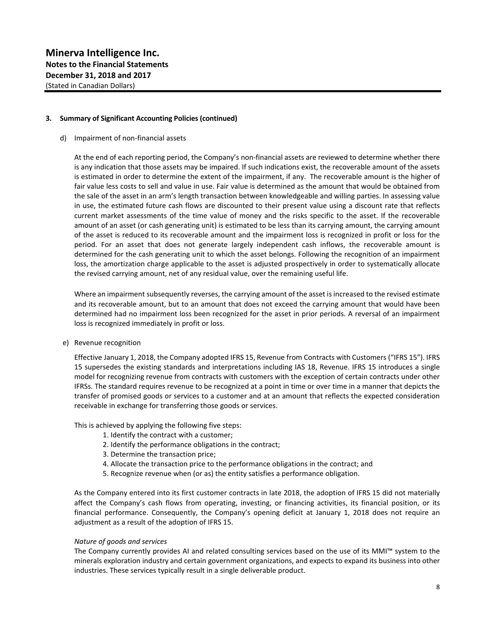#### d) Impairment of non-financial assets

At the end of each reporting period, the Company's non-financial assets are reviewed to determine whether there is any indication that those assets may be impaired. If such indications exist, the recoverable amount of the assets is estimated in order to determine the extent of the impairment, if any. The recoverable amount is the higher of fair value less costs to sell and value in use. Fair value is determined as the amount that would be obtained from the sale of the asset in an arm's length transaction between knowledgeable and willing parties. In assessing value in use, the estimated future cash flows are discounted to their present value using a discount rate that reflects current market assessments of the time value of money and the risks specific to the asset. If the recoverable amount of an asset (or cash generating unit) is estimated to be less than its carrying amount, the carrying amount of the asset is reduced to its recoverable amount and the impairment loss is recognized in profit or loss for the period. For an asset that does not generate largely independent cash inflows, the recoverable amount is determined for the cash generating unit to which the asset belongs. Following the recognition of an impairment loss, the amortization charge applicable to the asset is adjusted prospectively in order to systematically allocate the revised carrying amount, net of any residual value, over the remaining useful life.

Where an impairment subsequently reverses, the carrying amount of the asset isincreased to the revised estimate and its recoverable amount, but to an amount that does not exceed the carrying amount that would have been determined had no impairment loss been recognized for the asset in prior periods. A reversal of an impairment loss is recognized immediately in profit or loss.

#### e) Revenue recognition

Effective January 1, 2018, the Company adopted IFRS 15, Revenue from Contracts with Customers ("IFRS 15"). IFRS 15 supersedes the existing standards and interpretations including IAS 18, Revenue. IFRS 15 introduces a single model for recognizing revenue from contracts with customers with the exception of certain contracts under other IFRSs. The standard requires revenue to be recognized at a point in time or over time in a manner that depicts the transfer of promised goods or services to a customer and at an amount that reflects the expected consideration receivable in exchange for transferring those goods or services.

This is achieved by applying the following five steps:

- 1. Identify the contract with a customer;
- 2. Identify the performance obligations in the contract;
- 3. Determine the transaction price;
- 4. Allocate the transaction price to the performance obligations in the contract; and
- 5. Recognize revenue when (or as) the entity satisfies a performance obligation.

As the Company entered into its first customer contracts in late 2018, the adoption of IFRS 15 did not materially affect the Company's cash flows from operating, investing, or financing activities, its financial position, or its financial performance. Consequently, the Company's opening deficit at January 1, 2018 does not require an adjustment as a result of the adoption of IFRS 15.

#### *Nature of goods and services*

The Company currently provides AI and related consulting services based on the use of its MMI™ system to the minerals exploration industry and certain government organizations, and expects to expand its business into other industries. These services typically result in a single deliverable product.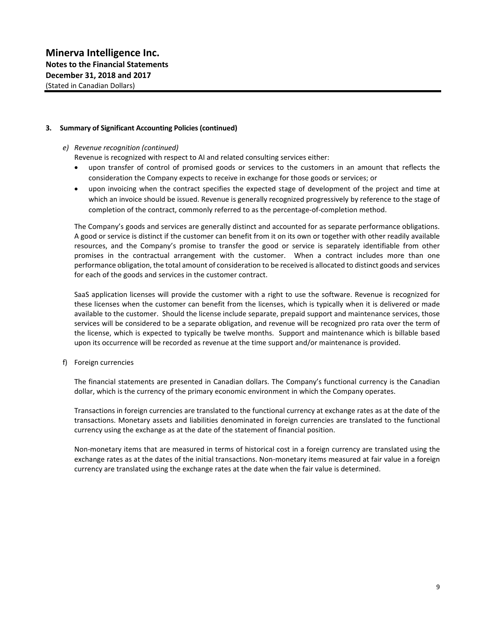#### *e) Revenue recognition (continued)*

Revenue is recognized with respect to AI and related consulting services either:

- upon transfer of control of promised goods or services to the customers in an amount that reflects the consideration the Company expects to receive in exchange for those goods or services; or
- upon invoicing when the contract specifies the expected stage of development of the project and time at which an invoice should be issued. Revenue is generally recognized progressively by reference to the stage of completion of the contract, commonly referred to as the percentage-of-completion method.

The Company's goods and services are generally distinct and accounted for as separate performance obligations. A good or service is distinct if the customer can benefit from it on its own or together with other readily available resources, and the Company's promise to transfer the good or service is separately identifiable from other promises in the contractual arrangement with the customer. When a contract includes more than one performance obligation, the total amount of consideration to be received is allocated to distinct goods and services for each of the goods and services in the customer contract.

SaaS application licenses will provide the customer with a right to use the software. Revenue is recognized for these licenses when the customer can benefit from the licenses, which is typically when it is delivered or made available to the customer. Should the license include separate, prepaid support and maintenance services, those services will be considered to be a separate obligation, and revenue will be recognized pro rata over the term of the license, which is expected to typically be twelve months. Support and maintenance which is billable based upon its occurrence will be recorded as revenue at the time support and/or maintenance is provided.

f) Foreign currencies

The financial statements are presented in Canadian dollars. The Company's functional currency is the Canadian dollar, which is the currency of the primary economic environment in which the Company operates.

Transactions in foreign currencies are translated to the functional currency at exchange rates as at the date of the transactions. Monetary assets and liabilities denominated in foreign currencies are translated to the functional currency using the exchange as at the date of the statement of financial position.

Non-monetary items that are measured in terms of historical cost in a foreign currency are translated using the exchange rates as at the dates of the initial transactions. Non-monetary items measured at fair value in a foreign currency are translated using the exchange rates at the date when the fair value is determined.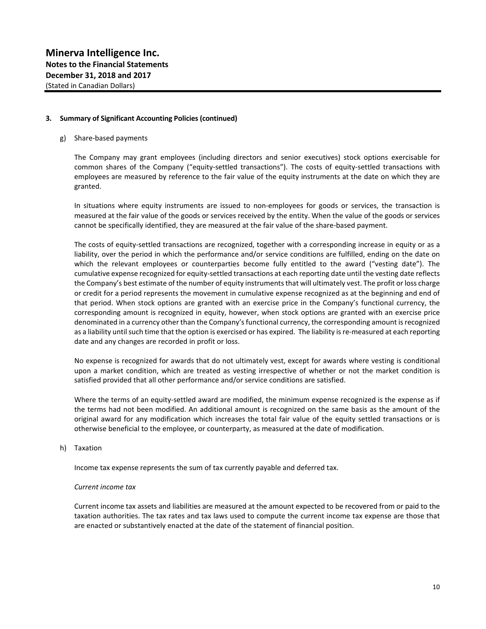#### g) Share-based payments

The Company may grant employees (including directors and senior executives) stock options exercisable for common shares of the Company ("equity-settled transactions"). The costs of equity-settled transactions with employees are measured by reference to the fair value of the equity instruments at the date on which they are granted.

In situations where equity instruments are issued to non-employees for goods or services, the transaction is measured at the fair value of the goods or services received by the entity. When the value of the goods or services cannot be specifically identified, they are measured at the fair value of the share-based payment.

The costs of equity-settled transactions are recognized, together with a corresponding increase in equity or as a liability, over the period in which the performance and/or service conditions are fulfilled, ending on the date on which the relevant employees or counterparties become fully entitled to the award ("vesting date"). The cumulative expense recognized for equity-settled transactions at each reporting date until the vesting date reflects the Company's best estimate of the number of equity instruments that will ultimately vest. The profit or loss charge or credit for a period represents the movement in cumulative expense recognized as at the beginning and end of that period. When stock options are granted with an exercise price in the Company's functional currency, the corresponding amount is recognized in equity, however, when stock options are granted with an exercise price denominated in a currency other than the Company's functional currency, the corresponding amount is recognized as a liability until such time that the option is exercised or has expired. The liability is re-measured at each reporting date and any changes are recorded in profit or loss.

No expense is recognized for awards that do not ultimately vest, except for awards where vesting is conditional upon a market condition, which are treated as vesting irrespective of whether or not the market condition is satisfied provided that all other performance and/or service conditions are satisfied.

Where the terms of an equity-settled award are modified, the minimum expense recognized is the expense as if the terms had not been modified. An additional amount is recognized on the same basis as the amount of the original award for any modification which increases the total fair value of the equity settled transactions or is otherwise beneficial to the employee, or counterparty, as measured at the date of modification.

#### h) Taxation

Income tax expense represents the sum of tax currently payable and deferred tax.

#### *Current income tax*

Current income tax assets and liabilities are measured at the amount expected to be recovered from or paid to the taxation authorities. The tax rates and tax laws used to compute the current income tax expense are those that are enacted or substantively enacted at the date of the statement of financial position.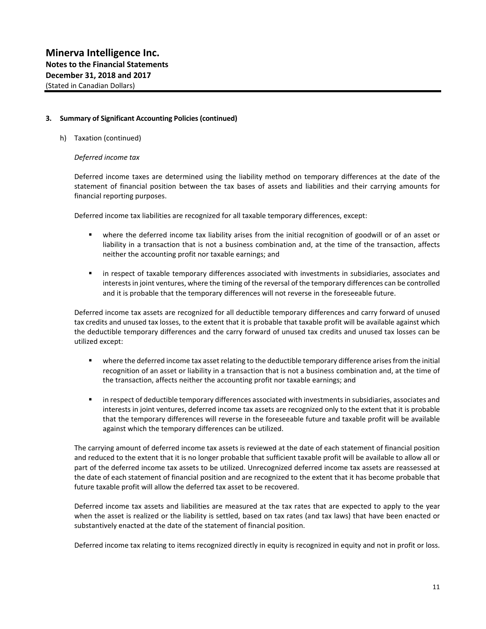h) Taxation (continued)

*Deferred income tax*

Deferred income taxes are determined using the liability method on temporary differences at the date of the statement of financial position between the tax bases of assets and liabilities and their carrying amounts for financial reporting purposes.

Deferred income tax liabilities are recognized for all taxable temporary differences, except:

- where the deferred income tax liability arises from the initial recognition of goodwill or of an asset or liability in a transaction that is not a business combination and, at the time of the transaction, affects neither the accounting profit nor taxable earnings; and
- in respect of taxable temporary differences associated with investments in subsidiaries, associates and interests in joint ventures, where the timing of the reversal of the temporary differences can be controlled and it is probable that the temporary differences will not reverse in the foreseeable future.

Deferred income tax assets are recognized for all deductible temporary differences and carry forward of unused tax credits and unused tax losses, to the extent that it is probable that taxable profit will be available against which the deductible temporary differences and the carry forward of unused tax credits and unused tax losses can be utilized except:

- where the deferred income tax asset relating to the deductible temporary difference arises from the initial recognition of an asset or liability in a transaction that is not a business combination and, at the time of the transaction, affects neither the accounting profit nor taxable earnings; and
- in respect of deductible temporary differences associated with investments in subsidiaries, associates and interests in joint ventures, deferred income tax assets are recognized only to the extent that it is probable that the temporary differences will reverse in the foreseeable future and taxable profit will be available against which the temporary differences can be utilized.

The carrying amount of deferred income tax assets is reviewed at the date of each statement of financial position and reduced to the extent that it is no longer probable that sufficient taxable profit will be available to allow all or part of the deferred income tax assets to be utilized. Unrecognized deferred income tax assets are reassessed at the date of each statement of financial position and are recognized to the extent that it has become probable that future taxable profit will allow the deferred tax asset to be recovered.

Deferred income tax assets and liabilities are measured at the tax rates that are expected to apply to the year when the asset is realized or the liability is settled, based on tax rates (and tax laws) that have been enacted or substantively enacted at the date of the statement of financial position.

Deferred income tax relating to items recognized directly in equity is recognized in equity and not in profit or loss.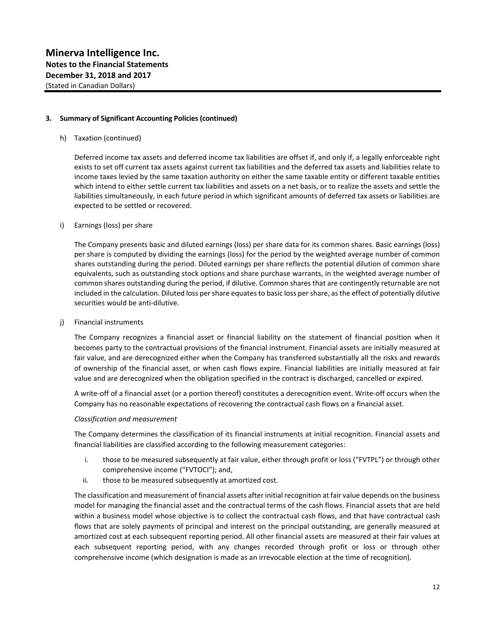#### h) Taxation (continued)

Deferred income tax assets and deferred income tax liabilities are offset if, and only if, a legally enforceable right exists to set off current tax assets against current tax liabilities and the deferred tax assets and liabilities relate to income taxes levied by the same taxation authority on either the same taxable entity or different taxable entities which intend to either settle current tax liabilities and assets on a net basis, or to realize the assets and settle the liabilities simultaneously, in each future period in which significant amounts of deferred tax assets or liabilities are expected to be settled or recovered.

#### i) Earnings (loss) per share

The Company presents basic and diluted earnings (loss) per share data for its common shares. Basic earnings (loss) per share is computed by dividing the earnings (loss) for the period by the weighted average number of common shares outstanding during the period. Diluted earnings per share reflects the potential dilution of common share equivalents, such as outstanding stock options and share purchase warrants, in the weighted average number of common shares outstanding during the period, if dilutive. Common shares that are contingently returnable are not included in the calculation. Diluted loss per share equates to basic loss per share, as the effect of potentially dilutive securities would be anti-dilutive.

#### j) Financial instruments

The Company recognizes a financial asset or financial liability on the statement of financial position when it becomes party to the contractual provisions of the financial instrument. Financial assets are initially measured at fair value, and are derecognized either when the Company has transferred substantially all the risks and rewards of ownership of the financial asset, or when cash flows expire. Financial liabilities are initially measured at fair value and are derecognized when the obligation specified in the contract is discharged, cancelled or expired.

A write-off of a financial asset (or a portion thereof) constitutes a derecognition event. Write-off occurs when the Company has no reasonable expectations of recovering the contractual cash flows on a financial asset.

#### *Classification and measurement*

The Company determines the classification of its financial instruments at initial recognition. Financial assets and financial liabilities are classified according to the following measurement categories:

- i. those to be measured subsequently at fair value, either through profit or loss ("FVTPL") or through other comprehensive income ("FVTOCI"); and,
- ii. those to be measured subsequently at amortized cost.

The classification and measurement of financial assets after initial recognition at fair value depends on the business model for managing the financial asset and the contractual terms of the cash flows. Financial assets that are held within a business model whose objective is to collect the contractual cash flows, and that have contractual cash flows that are solely payments of principal and interest on the principal outstanding, are generally measured at amortized cost at each subsequent reporting period. All other financial assets are measured at their fair values at each subsequent reporting period, with any changes recorded through profit or loss or through other comprehensive income (which designation is made as an irrevocable election at the time of recognition).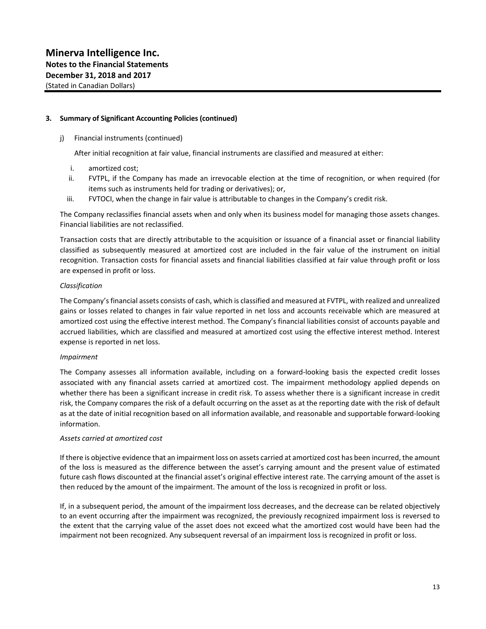j) Financial instruments (continued)

After initial recognition at fair value, financial instruments are classified and measured at either:

- i. amortized cost;
- ii. FVTPL, if the Company has made an irrevocable election at the time of recognition, or when required (for items such as instruments held for trading or derivatives); or,
- iii. FVTOCI, when the change in fair value is attributable to changes in the Company's credit risk.

The Company reclassifies financial assets when and only when its business model for managing those assets changes. Financial liabilities are not reclassified.

Transaction costs that are directly attributable to the acquisition or issuance of a financial asset or financial liability classified as subsequently measured at amortized cost are included in the fair value of the instrument on initial recognition. Transaction costs for financial assets and financial liabilities classified at fair value through profit or loss are expensed in profit or loss.

#### *Classification*

The Company's financial assets consists of cash, which is classified and measured at FVTPL, with realized and unrealized gains or losses related to changes in fair value reported in net loss and accounts receivable which are measured at amortized cost using the effective interest method. The Company's financial liabilities consist of accounts payable and accrued liabilities, which are classified and measured at amortized cost using the effective interest method. Interest expense is reported in net loss.

#### *Impairment*

The Company assesses all information available, including on a forward-looking basis the expected credit losses associated with any financial assets carried at amortized cost. The impairment methodology applied depends on whether there has been a significant increase in credit risk. To assess whether there is a significant increase in credit risk, the Company compares the risk of a default occurring on the asset as at the reporting date with the risk of default as at the date of initial recognition based on all information available, and reasonable and supportable forward-looking information.

#### *Assets carried at amortized cost*

If there is objective evidence that an impairment loss on assets carried at amortized cost has been incurred, the amount of the loss is measured as the difference between the asset's carrying amount and the present value of estimated future cash flows discounted at the financial asset's original effective interest rate. The carrying amount of the asset is then reduced by the amount of the impairment. The amount of the loss is recognized in profit or loss.

If, in a subsequent period, the amount of the impairment loss decreases, and the decrease can be related objectively to an event occurring after the impairment was recognized, the previously recognized impairment loss is reversed to the extent that the carrying value of the asset does not exceed what the amortized cost would have been had the impairment not been recognized. Any subsequent reversal of an impairment loss is recognized in profit or loss.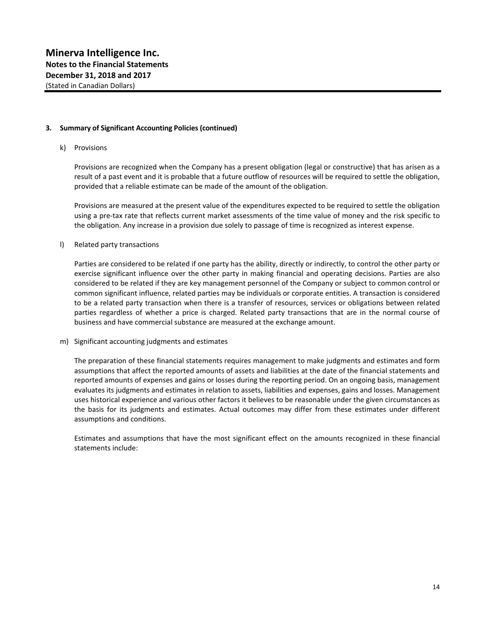#### k) Provisions

Provisions are recognized when the Company has a present obligation (legal or constructive) that has arisen as a result of a past event and it is probable that a future outflow of resources will be required to settle the obligation, provided that a reliable estimate can be made of the amount of the obligation.

Provisions are measured at the present value of the expenditures expected to be required to settle the obligation using a pre-tax rate that reflects current market assessments of the time value of money and the risk specific to the obligation. Any increase in a provision due solely to passage of time is recognized as interest expense.

#### l) Related party transactions

Parties are considered to be related if one party has the ability, directly or indirectly, to control the other party or exercise significant influence over the other party in making financial and operating decisions. Parties are also considered to be related if they are key management personnel of the Company or subject to common control or common significant influence, related parties may be individuals or corporate entities. A transaction is considered to be a related party transaction when there is a transfer of resources, services or obligations between related parties regardless of whether a price is charged. Related party transactions that are in the normal course of business and have commercial substance are measured at the exchange amount.

#### m) Significant accounting judgments and estimates

The preparation of these financial statements requires management to make judgments and estimates and form assumptions that affect the reported amounts of assets and liabilities at the date of the financial statements and reported amounts of expenses and gains or losses during the reporting period. On an ongoing basis, management evaluates its judgments and estimates in relation to assets, liabilities and expenses, gains and losses. Management uses historical experience and various other factors it believes to be reasonable under the given circumstances as the basis for its judgments and estimates. Actual outcomes may differ from these estimates under different assumptions and conditions.

Estimates and assumptions that have the most significant effect on the amounts recognized in these financial statements include: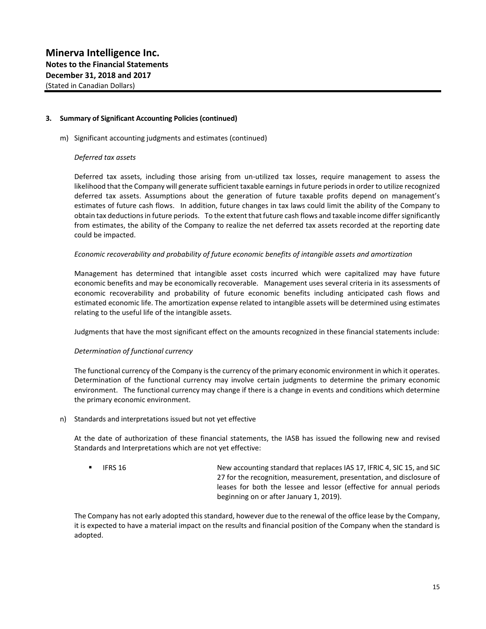m) Significant accounting judgments and estimates (continued)

#### *Deferred tax assets*

Deferred tax assets, including those arising from un-utilized tax losses, require management to assess the likelihood that the Company will generate sufficient taxable earnings in future periods in order to utilize recognized deferred tax assets. Assumptions about the generation of future taxable profits depend on management's estimates of future cash flows. In addition, future changes in tax laws could limit the ability of the Company to obtain tax deductions in future periods. To the extent that future cash flows and taxable income differ significantly from estimates, the ability of the Company to realize the net deferred tax assets recorded at the reporting date could be impacted.

#### *Economic recoverability and probability of future economic benefits of intangible assets and amortization*

Management has determined that intangible asset costs incurred which were capitalized may have future economic benefits and may be economically recoverable. Management uses several criteria in its assessments of economic recoverability and probability of future economic benefits including anticipated cash flows and estimated economic life. The amortization expense related to intangible assets will be determined using estimates relating to the useful life of the intangible assets.

Judgments that have the most significant effect on the amounts recognized in these financial statements include:

#### *Determination of functional currency*

The functional currency of the Company is the currency of the primary economic environment in which it operates. Determination of the functional currency may involve certain judgments to determine the primary economic environment. The functional currency may change if there is a change in events and conditions which determine the primary economic environment.

n) Standards and interpretations issued but not yet effective

At the date of authorization of these financial statements, the IASB has issued the following new and revised Standards and Interpretations which are not yet effective:

**IFRS 16** New accounting standard that replaces IAS 17, IFRIC 4, SIC 15, and SIC 27 for the recognition, measurement, presentation, and disclosure of leases for both the lessee and lessor (effective for annual periods beginning on or after January 1, 2019).

The Company has not early adopted this standard, however due to the renewal of the office lease by the Company, it is expected to have a material impact on the results and financial position of the Company when the standard is adopted.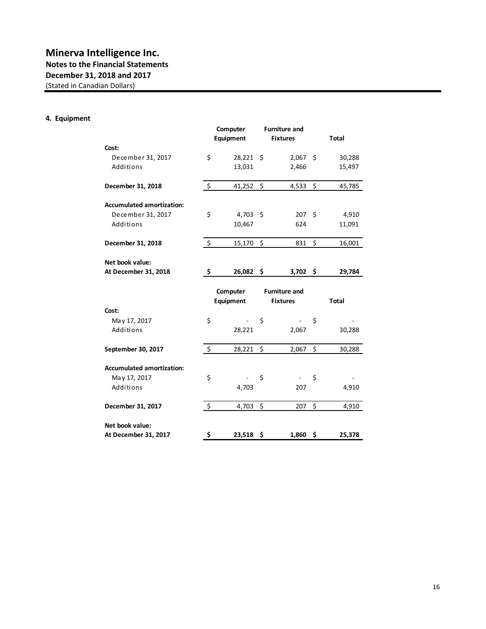### **4. Equipment**

|                                  |                     | <b>Furniture and</b><br>Computer |    |                      |              |
|----------------------------------|---------------------|----------------------------------|----|----------------------|--------------|
|                                  |                     | Equipment                        |    | <b>Fixtures</b>      | <b>Total</b> |
| Cost:                            |                     |                                  |    |                      |              |
| December 31, 2017                | \$                  | 28,221                           | \$ | 2,067                | \$<br>30,288 |
| Additions                        |                     | 13,031                           |    | 2,466                | 15,497       |
| December 31, 2018                | $\ddot{\varsigma}$  | 41,252                           | \$ | 4,533                | \$<br>45,785 |
| <b>Accumulated amortization:</b> |                     |                                  |    |                      |              |
| December 31, 2017                | \$                  | 4,703                            | Ŝ. | 207 <sup>5</sup>     | 4,910        |
| Additions                        |                     | 10,467                           |    | 624                  | 11,091       |
| December 31, 2018                | $\ddot{\varsigma}$  | 15,170                           | \$ | 831                  | \$<br>16,001 |
| Net book value:                  |                     |                                  |    |                      |              |
| At December 31, 2018             | $\ddot{\bm{\zeta}}$ | 26,082 \$                        |    | $3,702$ \$           | 29,784       |
|                                  |                     |                                  |    |                      |              |
|                                  |                     |                                  |    |                      |              |
|                                  |                     | Computer                         |    | <b>Furniture and</b> |              |
|                                  |                     | Equipment                        |    | <b>Fixtures</b>      | <b>Total</b> |
| Cost:                            |                     |                                  |    |                      |              |
| May 17, 2017                     | \$                  |                                  | \$ |                      | \$           |
| Additions                        |                     | 28,221                           |    | 2,067                | 30,288       |
| September 30, 2017               | \$                  | 28,221                           | \$ | 2,067                | \$<br>30,288 |
|                                  |                     |                                  |    |                      |              |
| <b>Accumulated amortization:</b> |                     |                                  |    |                      |              |
| May 17, 2017                     | \$                  |                                  | \$ |                      | \$           |
| Additions                        |                     | 4,703                            |    | 207                  | 4,910        |
| December 31, 2017                | \$                  | 4,703                            | \$ | 207                  | \$<br>4,910  |
| Net book value:                  |                     |                                  |    |                      |              |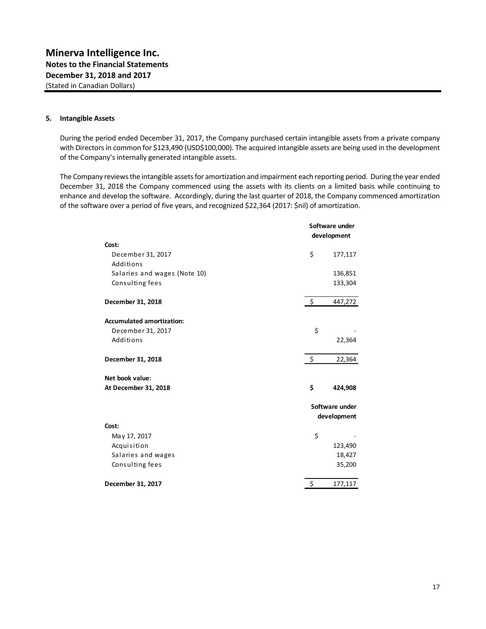#### **5. Intangible Assets**

During the period ended December 31, 2017, the Company purchased certain intangible assets from a private company with Directors in common for \$123,490 (USD\$100,000). The acquired intangible assets are being used in the development of the Company's internally generated intangible assets.

The Company reviewsthe intangible assets for amortization and impairment each reporting period. During the year ended December 31, 2018 the Company commenced using the assets with its clients on a limited basis while continuing to enhance and develop the software. Accordingly, during the last quarter of 2018, the Company commenced amortization of the software over a period of five years, and recognized \$22,364 (2017: \$nil) of amortization.

|                                  | Software under |
|----------------------------------|----------------|
|                                  | development    |
| Cost:                            |                |
| December 31, 2017                | \$<br>177,117  |
| Additions                        |                |
| Salaries and wages (Note 10)     | 136,851        |
| Consulting fees                  | 133,304        |
| December 31, 2018                | \$<br>447,272  |
| <b>Accumulated amortization:</b> |                |
| December 31, 2017                | \$             |
| Additions                        | 22,364         |
| December 31, 2018                | \$<br>22,364   |
| Net book value:                  |                |
| At December 31, 2018             | \$<br>424,908  |
|                                  | Software under |
|                                  | development    |
| Cost:                            |                |
| May 17, 2017                     | \$             |
| Acquisition                      | 123,490        |
| Salaries and wages               | 18,427         |
| Consulting fees                  | 35,200         |
| December 31, 2017                | \$<br>177,117  |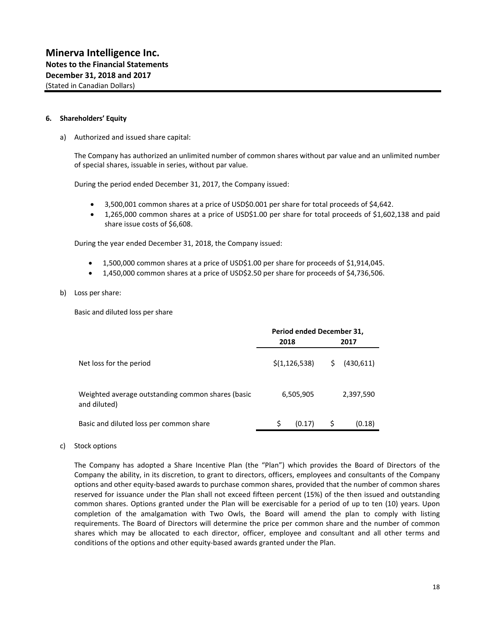#### **6. Shareholders' Equity**

a) Authorized and issued share capital:

The Company has authorized an unlimited number of common shares without par value and an unlimited number of special shares, issuable in series, without par value.

During the period ended December 31, 2017, the Company issued:

- 3,500,001 common shares at a price of USD\$0.001 per share for total proceeds of \$4,642.
- 1,265,000 common shares at a price of USD\$1.00 per share for total proceeds of \$1,602,138 and paid share issue costs of \$6,608.

During the year ended December 31, 2018, the Company issued:

- 1,500,000 common shares at a price of USD\$1.00 per share for proceeds of \$1,914,045.
- 1,450,000 common shares at a price of USD\$2.50 per share for proceeds of \$4,736,506.

#### b) Loss per share:

Basic and diluted loss per share

|                                                                   | Period ended December 31, |                 |  |  |
|-------------------------------------------------------------------|---------------------------|-----------------|--|--|
|                                                                   | 2018                      | 2017            |  |  |
| Net loss for the period                                           | \$(1, 126, 538)           | S.<br>(430,611) |  |  |
| Weighted average outstanding common shares (basic<br>and diluted) | 6,505,905                 | 2,397,590       |  |  |
| Basic and diluted loss per common share                           | Ś<br>(0.17)               | S<br>(0.18)     |  |  |

c) Stock options

The Company has adopted a Share Incentive Plan (the "Plan") which provides the Board of Directors of the Company the ability, in its discretion, to grant to directors, officers, employees and consultants of the Company options and other equity-based awards to purchase common shares, provided that the number of common shares reserved for issuance under the Plan shall not exceed fifteen percent (15%) of the then issued and outstanding common shares. Options granted under the Plan will be exercisable for a period of up to ten (10) years. Upon completion of the amalgamation with Two Owls, the Board will amend the plan to comply with listing requirements. The Board of Directors will determine the price per common share and the number of common shares which may be allocated to each director, officer, employee and consultant and all other terms and conditions of the options and other equity-based awards granted under the Plan.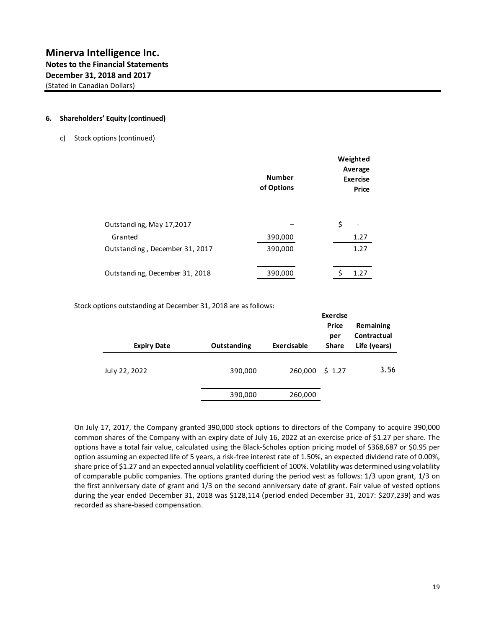#### **6. Shareholders' Equity (continued)**

c) Stock options (continued)

|                                | <b>Number</b><br>of Options | Weighted<br>Average<br><b>Exercise</b><br>Price |
|--------------------------------|-----------------------------|-------------------------------------------------|
| Outstanding, May 17,2017       |                             | \$<br>$\qquad \qquad \blacksquare$              |
| Granted                        | 390,000                     | 1.27                                            |
| Outstanding, December 31, 2017 | 390,000                     | 1.27                                            |
| Outstanding, December 31, 2018 | 390,000                     | \$<br>1.27                                      |

Stock options outstanding at December 31, 2018 are as follows:

| <b>Expiry Date</b> | Outstanding | <b>Exercisable</b> | <b>Exercise</b><br>Price<br>per<br><b>Share</b> | Remaining<br>Contractual<br>Life (years) |
|--------------------|-------------|--------------------|-------------------------------------------------|------------------------------------------|
| July 22, 2022      | 390,000     | 260,000            | \$1.27                                          | 3.56                                     |
|                    | 390,000     | 260,000            |                                                 |                                          |

On July 17, 2017, the Company granted 390,000 stock options to directors of the Company to acquire 390,000 common shares of the Company with an expiry date of July 16, 2022 at an exercise price of \$1.27 per share. The options have a total fair value, calculated using the Black-Scholes option pricing model of \$368,687 or \$0.95 per option assuming an expected life of 5 years, a risk-free interest rate of 1.50%, an expected dividend rate of 0.00%, share price of \$1.27 and an expected annual volatility coefficient of 100%. Volatility was determined using volatility of comparable public companies. The options granted during the period vest as follows: 1/3 upon grant, 1/3 on the first anniversary date of grant and 1/3 on the second anniversary date of grant. Fair value of vested options during the year ended December 31, 2018 was \$128,114 (period ended December 31, 2017: \$207,239) and was recorded as share-based compensation.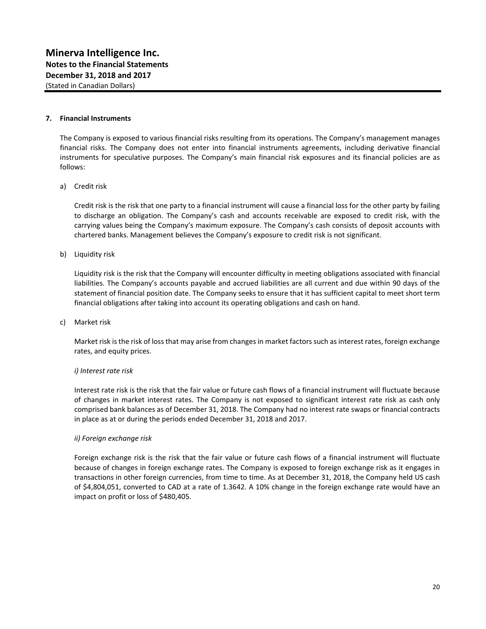#### **7. Financial Instruments**

The Company is exposed to various financial risks resulting from its operations. The Company's management manages financial risks. The Company does not enter into financial instruments agreements, including derivative financial instruments for speculative purposes. The Company's main financial risk exposures and its financial policies are as follows:

#### a) Credit risk

Credit risk is the risk that one party to a financial instrument will cause a financial loss for the other party by failing to discharge an obligation. The Company's cash and accounts receivable are exposed to credit risk, with the carrying values being the Company's maximum exposure. The Company's cash consists of deposit accounts with chartered banks. Management believes the Company's exposure to credit risk is not significant.

b) Liquidity risk

Liquidity risk is the risk that the Company will encounter difficulty in meeting obligations associated with financial liabilities. The Company's accounts payable and accrued liabilities are all current and due within 90 days of the statement of financial position date. The Company seeks to ensure that it has sufficient capital to meet short term financial obligations after taking into account its operating obligations and cash on hand.

c) Market risk

Market risk is the risk of loss that may arise from changes in market factors such as interest rates, foreign exchange rates, and equity prices.

#### *i) Interest rate risk*

Interest rate risk is the risk that the fair value or future cash flows of a financial instrument will fluctuate because of changes in market interest rates. The Company is not exposed to significant interest rate risk as cash only comprised bank balances as of December 31, 2018. The Company had no interest rate swaps or financial contracts in place as at or during the periods ended December 31, 2018 and 2017.

#### *ii) Foreign exchange risk*

Foreign exchange risk is the risk that the fair value or future cash flows of a financial instrument will fluctuate because of changes in foreign exchange rates. The Company is exposed to foreign exchange risk as it engages in transactions in other foreign currencies, from time to time. As at December 31, 2018, the Company held US cash of \$4,804,051, converted to CAD at a rate of 1.3642. A 10% change in the foreign exchange rate would have an impact on profit or loss of \$480,405.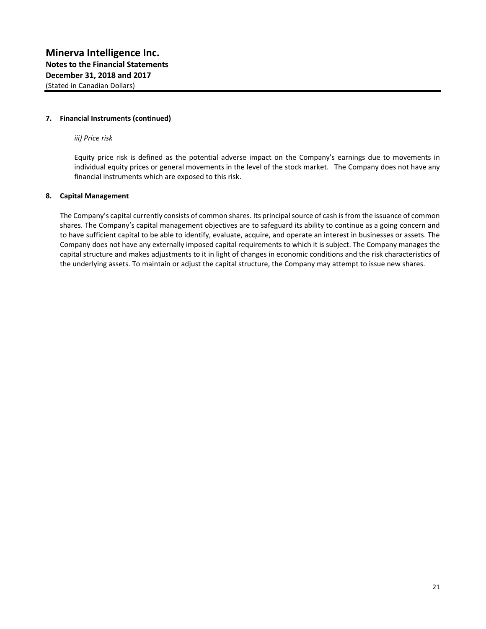#### **7. Financial Instruments (continued)**

#### *iii) Price risk*

Equity price risk is defined as the potential adverse impact on the Company's earnings due to movements in individual equity prices or general movements in the level of the stock market. The Company does not have any financial instruments which are exposed to this risk.

#### **8. Capital Management**

The Company's capital currently consists of common shares. Its principal source of cash is from the issuance of common shares. The Company's capital management objectives are to safeguard its ability to continue as a going concern and to have sufficient capital to be able to identify, evaluate, acquire, and operate an interest in businesses or assets. The Company does not have any externally imposed capital requirements to which it is subject. The Company manages the capital structure and makes adjustments to it in light of changes in economic conditions and the risk characteristics of the underlying assets. To maintain or adjust the capital structure, the Company may attempt to issue new shares.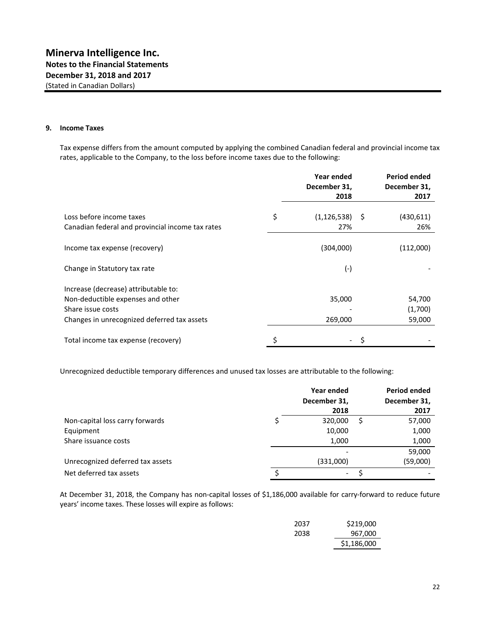#### **9. Income Taxes**

Tax expense differs from the amount computed by applying the combined Canadian federal and provincial income tax rates, applicable to the Company, to the loss before income taxes due to the following:

|                                                                                                                                               | <b>Year ended</b><br>December 31,<br>2018 | <b>Period ended</b><br>December 31,<br>2017 |
|-----------------------------------------------------------------------------------------------------------------------------------------------|-------------------------------------------|---------------------------------------------|
| Loss before income taxes<br>Canadian federal and provincial income tax rates                                                                  | \$<br>$(1, 126, 538)$ \$<br>27%           | (430,611)<br>26%                            |
| Income tax expense (recovery)                                                                                                                 | (304,000)                                 | (112,000)                                   |
| Change in Statutory tax rate                                                                                                                  | $(-)$                                     |                                             |
| Increase (decrease) attributable to:<br>Non-deductible expenses and other<br>Share issue costs<br>Changes in unrecognized deferred tax assets | 35,000<br>269,000                         | 54,700<br>(1,700)<br>59,000                 |
| Total income tax expense (recovery)                                                                                                           | \$                                        |                                             |

Unrecognized deductible temporary differences and unused tax losses are attributable to the following:

|                                  | Year ended   |   | <b>Period ended</b> |
|----------------------------------|--------------|---|---------------------|
|                                  | December 31, |   | December 31,        |
|                                  | 2018         |   | 2017                |
| Non-capital loss carry forwards  | 320,000      | S | 57,000              |
| Equipment                        | 10,000       |   | 1,000               |
| Share issuance costs             | 1,000        |   | 1,000               |
|                                  |              |   | 59,000              |
| Unrecognized deferred tax assets | (331,000)    |   | (59,000)            |
| Net deferred tax assets          | -            |   |                     |

At December 31, 2018, the Company has non-capital losses of \$1,186,000 available for carry-forward to reduce future years' income taxes. These losses will expire as follows:

| 2037 | \$219,000   |
|------|-------------|
| 2038 | 967,000     |
|      | \$1,186,000 |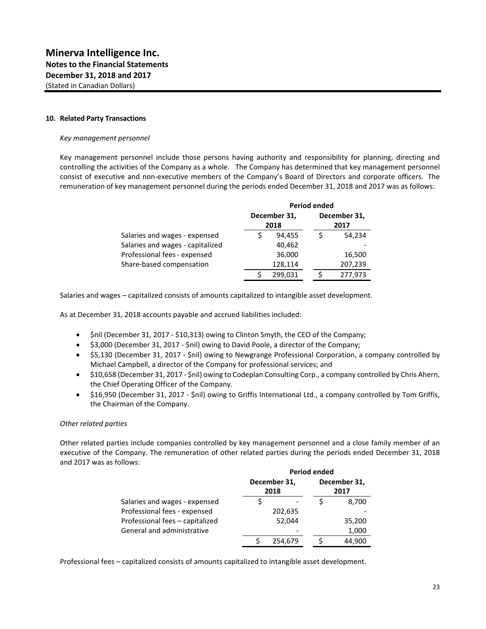#### **10. Related Party Transactions**

#### *Key management personnel*

Key management personnel include those persons having authority and responsibility for planning, directing and controlling the activities of the Company as a whole. The Company has determined that key management personnel consist of executive and non-executive members of the Company's Board of Directors and corporate officers. The remuneration of key management personnel during the periods ended December 31, 2018 and 2017 was as follows:

|                                  | <b>Period ended</b>  |         |              |         |
|----------------------------------|----------------------|---------|--------------|---------|
|                                  | December 31,<br>2018 |         | December 31, |         |
|                                  |                      |         |              | 2017    |
| Salaries and wages - expensed    |                      | 94.455  |              | 54,234  |
| Salaries and wages - capitalized |                      | 40.462  |              |         |
| Professional fees - expensed     |                      | 36,000  |              | 16,500  |
| Share-based compensation         |                      | 128,114 |              | 207,239 |
|                                  |                      | 299,031 |              | 277,973 |

Salaries and wages – capitalized consists of amounts capitalized to intangible asset development.

As at December 31, 2018 accounts payable and accrued liabilities included:

- \$nil (December 31, 2017 \$10,313) owing to Clinton Smyth, the CEO of the Company;
- \$3,000 (December 31, 2017 \$nil) owing to David Poole, a director of the Company;
- \$5,130 (December 31, 2017 \$nil) owing to Newgrange Professional Corporation, a company controlled by Michael Campbell, a director of the Company for professional services; and
- \$10,658 (December 31, 2017 \$nil) owing to Codeplan Consulting Corp., a company controlled by Chris Ahern, the Chief Operating Officer of the Company.
- \$16,950 (December 31, 2017 \$nil) owing to Griffis International Ltd., a company controlled by Tom Griffis, the Chairman of the Company.

#### *Other related parties*

Other related parties include companies controlled by key management personnel and a close family member of an executive of the Company. The remuneration of other related parties during the periods ended December 31, 2018 and 2017 was as follows:

|                                 | <b>Period ended</b>  |         |  |                      |  |
|---------------------------------|----------------------|---------|--|----------------------|--|
|                                 | December 31,<br>2018 |         |  | December 31,<br>2017 |  |
|                                 |                      |         |  |                      |  |
| Salaries and wages - expensed   |                      |         |  | 8,700                |  |
| Professional fees - expensed    |                      | 202,635 |  |                      |  |
| Professional fees - capitalized |                      | 52,044  |  | 35,200               |  |
| General and administrative      |                      |         |  | 1,000                |  |
|                                 |                      | 254,679 |  | 44,900               |  |

Professional fees – capitalized consists of amounts capitalized to intangible asset development.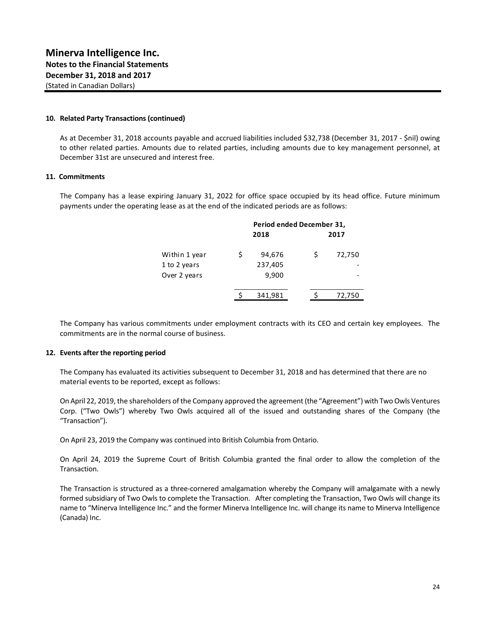#### **10. Related Party Transactions (continued)**

As at December 31, 2018 accounts payable and accrued liabilities included \$32,738 (December 31, 2017 - \$nil) owing to other related parties. Amounts due to related parties, including amounts due to key management personnel, at December 31st are unsecured and interest free.

#### **11. Commitments**

The Company has a lease expiring January 31, 2022 for office space occupied by its head office. Future minimum payments under the operating lease as at the end of the indicated periods are as follows:

|               |   | Period ended December 31,<br>2018<br>2017 |  |   |        |
|---------------|---|-------------------------------------------|--|---|--------|
|               |   |                                           |  |   |        |
| Within 1 year | Ś | 94,676                                    |  | S | 72,750 |
| 1 to 2 years  |   | 237,405                                   |  |   |        |
| Over 2 years  |   | 9,900                                     |  |   |        |
|               |   |                                           |  |   |        |
|               |   | 341,981                                   |  |   | 72,750 |

The Company has various commitments under employment contracts with its CEO and certain key employees. The commitments are in the normal course of business.

#### **12. Events after the reporting period**

The Company has evaluated its activities subsequent to December 31, 2018 and has determined that there are no material events to be reported, except as follows:

On April 22, 2019, the shareholders of the Company approved the agreement (the "Agreement") with Two Owls Ventures Corp. ("Two Owls") whereby Two Owls acquired all of the issued and outstanding shares of the Company (the "Transaction").

On April 23, 2019 the Company was continued into British Columbia from Ontario.

On April 24, 2019 the Supreme Court of British Columbia granted the final order to allow the completion of the Transaction.

The Transaction is structured as a three-cornered amalgamation whereby the Company will amalgamate with a newly formed subsidiary of Two Owls to complete the Transaction. After completing the Transaction, Two Owls will change its name to "Minerva Intelligence Inc." and the former Minerva Intelligence Inc. will change its name to Minerva Intelligence (Canada) Inc.